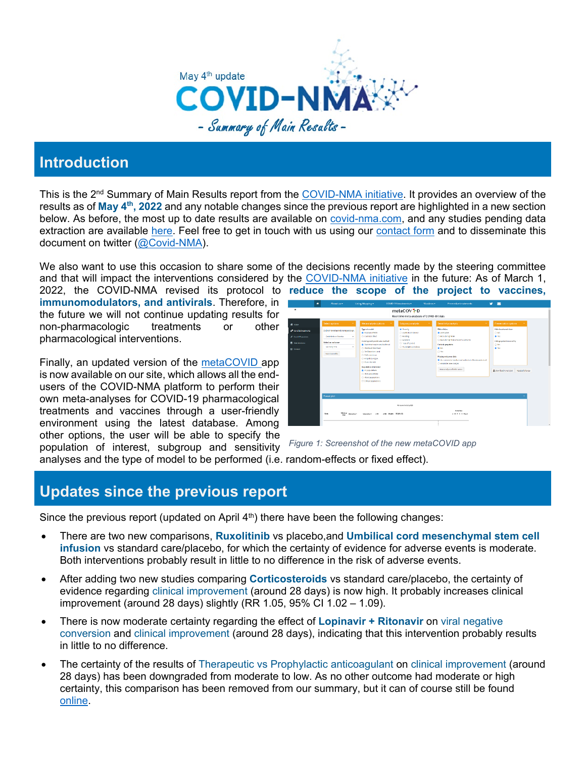

# **Introduction**

This is the 2<sup>nd</sup> Summary of Main Results report from the [COVID-NMA initiative.](https://covid-nma.com/) It provides an overview of the results as of **May 4th, 2022** and any notable changes since the previous report are highlighted in a new section below. As before, the most up to date results are available on [covid-nma.com,](https://covid-nma.com/) and any studies pending data extraction are available [here.](https://covid-nma.com/news/) Feel free to get in touch with us using our [contact form](https://covid-nma.com/contact/) and to disseminate this document on twitter [\(@Covid-NMA\)](https://twitter.com/CovidNma).

We also want to use this occasion to share some of the decisions recently made by the steering committee and that will impact the interventions considered by the [COVID-NMA initiative](https://covid-nma.com/) in the future: As of March 1,

2022, the COVID-NMA revised its protocol to **reduce the scope of the project to vaccines, immunomodulators, and antivirals**. Therefore, in the future we will not continue updating results for non-pharmacologic treatments or other pharmacological interventions.

Finally, an updated version of the [metaCOVID](https://covid-nma.com/metacovid/) app is now available on our site, which allows all the endusers of the COVID-NMA platform to perform their own meta-analyses for COVID-19 pharmacological treatments and vaccines through a user-friendly environment using the latest database. Among other options, the user will be able to specify the population of interest, subgroup and sensitivity

*Figure 1: Screenshot of the new metaCOVID app*

analyses and the type of model to be performed (i.e. random-effects or fixed effect).

### **Updates since the previous report**

Since the previous report (updated on April  $4<sup>th</sup>$ ) there have been the following changes:

- There are two new comparisons, **Ruxolitinib** vs placebo,and **Umbilical cord mesenchymal stem cell infusion** vs standard care/placebo, for which the certainty of evidence for adverse events is moderate. Both interventions probably result in little to no difference in the risk of adverse events.
- After adding two new studies comparing **Corticosteroids** vs standard care/placebo, the certainty of evidence regarding clinical improvement (around 28 days) is now high. It probably increases clinical improvement (around 28 days) slightly (RR 1.05, 95% CI 1.02 – 1.09).
- There is now moderate certainty regarding the effect of **Lopinavir + Ritonavir** on viral negative conversion and clinical improvement (around 28 days), indicating that this intervention probably results in little to no difference.
- The certainty of the results of Therapeutic vs Prophylactic anticoagulant on clinical improvement (around 28 days) has been downgraded from moderate to low. As no other outcome had moderate or high certainty, this comparison has been removed from our summary, but it can of course still be found [online.](https://covid-nma.com/living_data/index.php?comparison=97)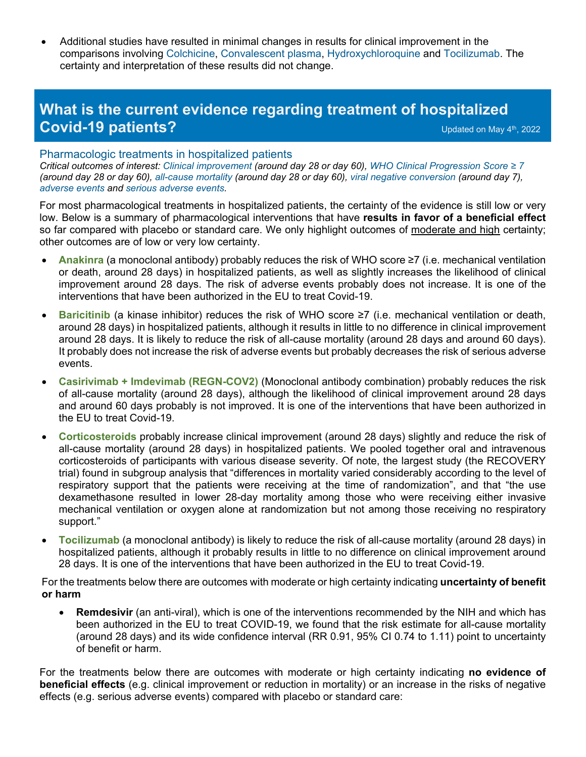• Additional studies have resulted in minimal changes in results for clinical improvement in the comparisons involving Colchicine, Convalescent plasma, Hydroxychloroquine and Tocilizumab. The certainty and interpretation of these results did not change.

## **What is the current evidence regarding treatment of hospitalized Covid-19 patients?** Covid-19 patients?

#### Pharmacologic treatments in hospitalized patients

*Critical outcomes of interest: Clinical improvement (around day 28 or day 60), WHO Clinical Progression Score ≥ 7 (around day 28 or day 60), all-cause mortality (around day 28 or day 60), viral negative conversion (around day 7), adverse events and serious adverse events.* 

For most pharmacological treatments in hospitalized patients, the certainty of the evidence is still low or very low. Below is a summary of pharmacological interventions that have **results in favor of a beneficial effect** so far compared with placebo or standard care. We only highlight outcomes of moderate and high certainty; other outcomes are of low or very low certainty.

- **Anakinra** (a monoclonal antibody) probably reduces the risk of WHO score ≥7 (i.e. mechanical ventilation or death, around 28 days) in hospitalized patients, as well as slightly increases the likelihood of clinical improvement around 28 days. The risk of adverse events probably does not increase. It is one of the interventions that have been authorized in the EU to treat Covid-19.
- **Baricitinib** (a kinase inhibitor) reduces the risk of WHO score ≥7 (i.e. mechanical ventilation or death, around 28 days) in hospitalized patients, although it results in little to no difference in clinical improvement around 28 days. It is likely to reduce the risk of all-cause mortality (around 28 days and around 60 days). It probably does not increase the risk of adverse events but probably decreases the risk of serious adverse events.
- **Casirivimab + Imdevimab (REGN-COV2)** (Monoclonal antibody combination) probably reduces the risk of all-cause mortality (around 28 days), although the likelihood of clinical improvement around 28 days and around 60 days probably is not improved. It is one of the interventions that have been authorized in the EU to treat Covid-19.
- **Corticosteroids** probably increase clinical improvement (around 28 days) slightly and reduce the risk of all-cause mortality (around 28 days) in hospitalized patients. We pooled together oral and intravenous corticosteroids of participants with various disease severity. Of note, the largest study (the RECOVERY trial) found in subgroup analysis that "differences in mortality varied considerably according to the level of respiratory support that the patients were receiving at the time of randomization", and that "the use dexamethasone resulted in lower 28-day mortality among those who were receiving either invasive mechanical ventilation or oxygen alone at randomization but not among those receiving no respiratory support."
- **Tocilizumab** (a monoclonal antibody) is likely to reduce the risk of all-cause mortality (around 28 days) in hospitalized patients, although it probably results in little to no difference on clinical improvement around 28 days. It is one of the interventions that have been authorized in the EU to treat Covid-19.

For the treatments below there are outcomes with moderate or high certainty indicating **uncertainty of benefit or harm**

• **Remdesivir** (an anti-viral), which is one of the interventions recommended by the NIH and which has been authorized in the EU to treat COVID-19, we found that the risk estimate for all-cause mortality (around 28 days) and its wide confidence interval (RR 0.91, 95% CI 0.74 to 1.11) point to uncertainty of benefit or harm.

For the treatments below there are outcomes with moderate or high certainty indicating **no evidence of beneficial effects** (e.g. clinical improvement or reduction in mortality) or an increase in the risks of negative effects (e.g. serious adverse events) compared with placebo or standard care: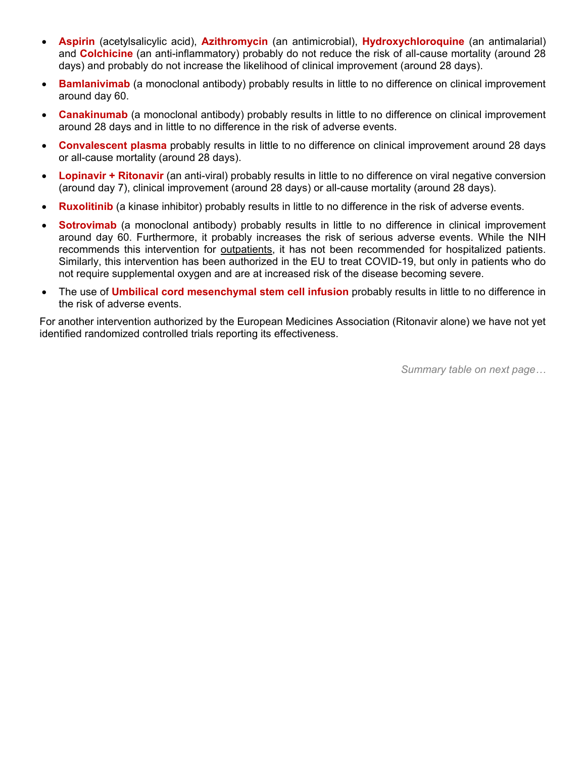- **Aspirin** (acetylsalicylic acid), **Azithromycin** (an antimicrobial), **Hydroxychloroquine** (an antimalarial) and **Colchicine** (an anti-inflammatory) probably do not reduce the risk of all-cause mortality (around 28 days) and probably do not increase the likelihood of clinical improvement (around 28 days).
- **Bamlanivimab** (a monoclonal antibody) probably results in little to no difference on clinical improvement around day 60.
- **Canakinumab** (a monoclonal antibody) probably results in little to no difference on clinical improvement around 28 days and in little to no difference in the risk of adverse events.
- **Convalescent plasma** probably results in little to no difference on clinical improvement around 28 days or all-cause mortality (around 28 days).
- **Lopinavir + Ritonavir** (an anti-viral) probably results in little to no difference on viral negative conversion (around day 7), clinical improvement (around 28 days) or all-cause mortality (around 28 days).
- **Ruxolitinib** (a kinase inhibitor) probably results in little to no difference in the risk of adverse events.
- **Sotrovimab** (a monoclonal antibody) probably results in little to no difference in clinical improvement around day 60. Furthermore, it probably increases the risk of serious adverse events. While the NIH recommends this intervention for outpatients, it has not been recommended for hospitalized patients. Similarly, this intervention has been authorized in the EU to treat COVID-19, but only in patients who do not require supplemental oxygen and are at increased risk of the disease becoming severe.
- The use of **Umbilical cord mesenchymal stem cell infusion** probably results in little to no difference in the risk of adverse events.

For another intervention authorized by the European Medicines Association (Ritonavir alone) we have not yet identified randomized controlled trials reporting its effectiveness.

*Summary table on next page…*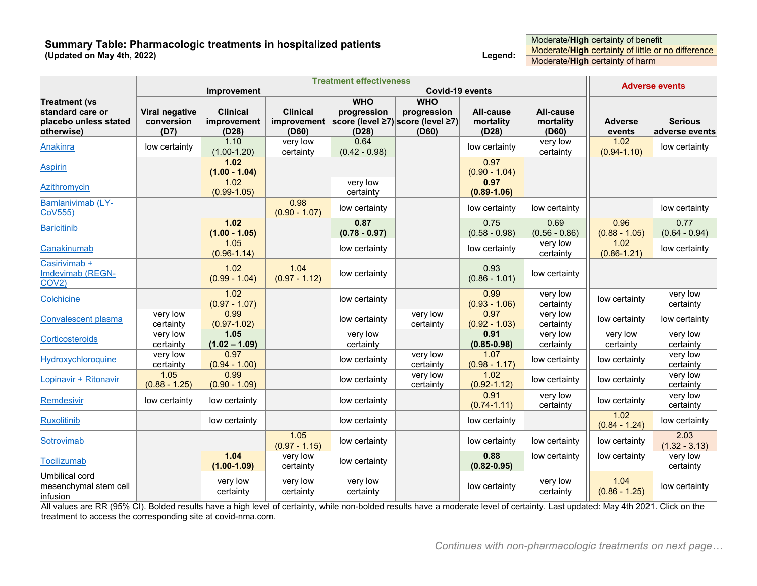#### **Summary Table: Pharmacologic treatments in hospitalized patients (Updated on May 4th, 2022) Legend:**

Moderate/**High** certainty of benefit Moderate/**High** certainty of little or no difference Moderate/**High** certainty of harm

|                                                     | <b>Treatment effectiveness</b> |                         |                         |                         |                                               |                         |                         | <b>Adverse events</b>   |                         |
|-----------------------------------------------------|--------------------------------|-------------------------|-------------------------|-------------------------|-----------------------------------------------|-------------------------|-------------------------|-------------------------|-------------------------|
|                                                     |                                | Improvement             |                         | Covid-19 events         |                                               |                         |                         |                         |                         |
| <b>Treatment (vs</b>                                |                                |                         |                         | <b>WHO</b>              | <b>WHO</b>                                    |                         |                         |                         |                         |
| standard care or                                    | Viral negative                 | <b>Clinical</b>         | <b>Clinical</b>         | progression             | progression                                   | All-cause               | All-cause               |                         |                         |
| placebo unless stated                               | conversion                     | improvement             | improvement             |                         | score (level $\geq$ 7) score (level $\geq$ 7) | mortality               | mortality               | <b>Adverse</b>          | <b>Serious</b>          |
| otherwise)                                          | (D7)                           | (D28)                   | (D60)                   | (D28)                   | (D60)                                         | (D28)                   | (D60)                   | events                  | adverse events          |
| Anakinra                                            | low certainty                  | 1.10<br>$(1.00 - 1.20)$ | very low<br>certainty   | 0.64<br>$(0.42 - 0.98)$ |                                               | low certainty           | very low<br>certainty   | 1.02<br>$(0.94 - 1.10)$ | low certainty           |
| <b>Aspirin</b>                                      |                                | 1.02<br>$(1.00 - 1.04)$ |                         |                         |                                               | 0.97<br>$(0.90 - 1.04)$ |                         |                         |                         |
| Azithromycin                                        |                                | 1.02<br>$(0.99 - 1.05)$ |                         | very low<br>certainty   |                                               | 0.97<br>$(0.89 - 1.06)$ |                         |                         |                         |
| Bamlanivimab (LY-<br>CoV555)                        |                                |                         | 0.98<br>$(0.90 - 1.07)$ | low certainty           |                                               | low certainty           | low certainty           |                         | low certainty           |
| Baricitinib                                         |                                | 1.02<br>$(1.00 - 1.05)$ |                         | 0.87<br>$(0.78 - 0.97)$ |                                               | 0.75<br>$(0.58 - 0.98)$ | 0.69<br>$(0.56 - 0.86)$ | 0.96<br>$(0.88 - 1.05)$ | 0.77<br>$(0.64 - 0.94)$ |
| Canakinumab                                         |                                | 1.05<br>$(0.96 - 1.14)$ |                         | low certainty           |                                               | low certainty           | very low<br>certainty   | 1.02<br>$(0.86 - 1.21)$ | low certainty           |
| Casirivimab +<br>Imdevimab (REGN-<br>COV2           |                                | 1.02<br>$(0.99 - 1.04)$ | 1.04<br>$(0.97 - 1.12)$ | low certainty           |                                               | 0.93<br>$(0.86 - 1.01)$ | low certainty           |                         |                         |
| Colchicine                                          |                                | 1.02<br>$(0.97 - 1.07)$ |                         | low certainty           |                                               | 0.99<br>$(0.93 - 1.06)$ | very low<br>certainty   | low certainty           | very low<br>certainty   |
| Convalescent plasma                                 | very low<br>certainty          | 0.99<br>$(0.97 - 1.02)$ |                         | low certainty           | very low<br>certainty                         | 0.97<br>$(0.92 - 1.03)$ | very low<br>certainty   | low certainty           | low certainty           |
| Corticosteroids                                     | very low<br>certainty          | 1.05<br>$(1.02 - 1.09)$ |                         | very low<br>certainty   |                                               | 0.91<br>$(0.85 - 0.98)$ | very low<br>certainty   | very low<br>certainty   | very low<br>certainty   |
| Hydroxychloroquine                                  | very low<br>certainty          | 0.97<br>$(0.94 - 1.00)$ |                         | low certainty           | very low<br>certainty                         | 1.07<br>$(0.98 - 1.17)$ | low certainty           | low certainty           | very low<br>certainty   |
| Lopinavir + Ritonavir                               | 1.05<br>$(0.88 - 1.25)$        | 0.99<br>$(0.90 - 1.09)$ |                         | low certainty           | very low<br>certainty                         | 1.02<br>$(0.92 - 1.12)$ | low certainty           | low certainty           | very low<br>certainty   |
| Remdesivir                                          | low certainty                  | low certainty           |                         | low certainty           |                                               | 0.91<br>$(0.74 - 1.11)$ | very low<br>certainty   | low certainty           | very low<br>certainty   |
| Ruxolitinib                                         |                                | low certainty           |                         | low certainty           |                                               | low certainty           |                         | 1.02<br>$(0.84 - 1.24)$ | low certainty           |
| Sotrovimab                                          |                                |                         | 1.05<br>$(0.97 - 1.15)$ | low certainty           |                                               | low certainty           | low certainty           | low certainty           | 2.03<br>$(1.32 - 3.13)$ |
| Tocilizumab                                         |                                | 1.04<br>$(1.00 - 1.09)$ | very low<br>certainty   | low certainty           |                                               | 0.88<br>$(0.82 - 0.95)$ | low certainty           | low certainty           | very low<br>certainty   |
| Umbilical cord<br>mesenchymal stem cell<br>infusion |                                | very low<br>certainty   | very low<br>certainty   | very low<br>certainty   |                                               | low certainty           | very low<br>certainty   | 1.04<br>$(0.86 - 1.25)$ | low certainty           |

All values are RR (95% CI). Bolded results have a high level of certainty, while non-bolded results have a moderate level of certainty. Last updated: May 4th 2021. Click on the treatment to access the corresponding site at covid-nma.com.